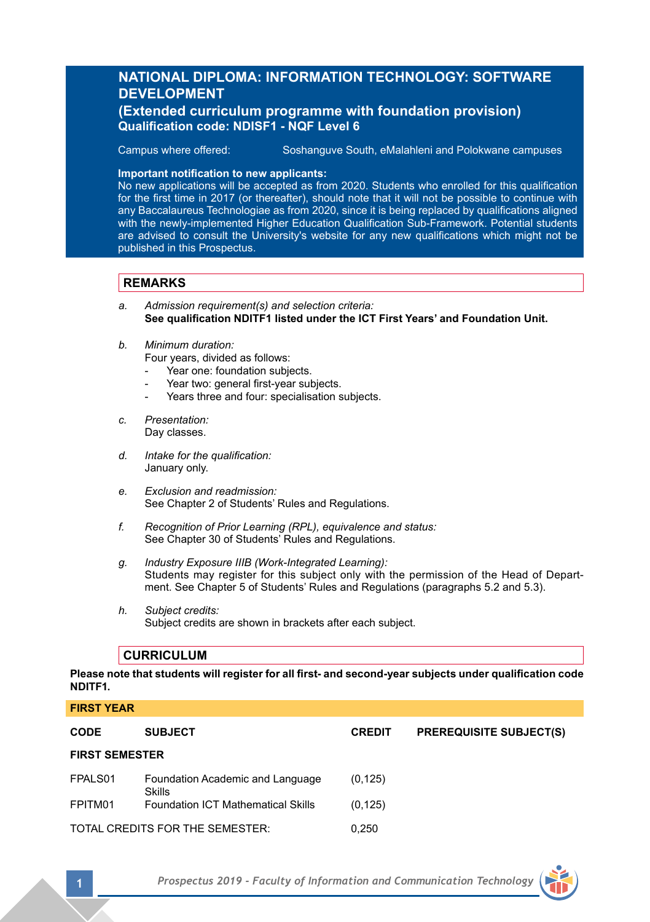# **NATIONAL DIPLOMA: INFORMATION TECHNOLOGY: SOFTWARE DEVELOPMENT**

## **(Extended curriculum programme with foundation provision) Qualification code: NDISF1 - NQF Level 6**

**Campus where offered:** Soshanguve South, eMalahleni and Polokwane campuses

### **Important notification to new applicants:**

No new applications will be accepted as from 2020. Students who enrolled for this qualification for the first time in 2017 (or thereafter), should note that it will not be possible to continue with any Baccalaureus Technologiae as from 2020, since it is being replaced by qualifications aligned with the newly-implemented Higher Education Qualification Sub-Framework. Potential students are advised to consult the University's website for any new qualifications which might not be published in this Prospectus.

## **REMARKS**

- *a. Admission requirement(s) and selection criteria:* **See qualification NDITF1 listed under the ICT First Years' and Foundation Unit.**
- *b. Minimum duration:*
	- Four years, divided as follows:
	- Year one: foundation subjects.
	- Year two: general first-year subjects.
	- Years three and four: specialisation subjects.
- *c. Presentation:*  Day classes.
- *d. Intake for the qualification:* January only.
- *e. Exclusion and readmission:* See Chapter 2 of Students' Rules and Regulations.
- *f. Recognition of Prior Learning (RPL), equivalence and status:* See Chapter 30 of Students' Rules and Regulations.
- *g. Industry Exposure IIIB (Work-Integrated Learning):* Students may register for this subject only with the permission of the Head of Department. See Chapter 5 of Students' Rules and Regulations (paragraphs 5.2 and 5.3).
- *h. Subject credits:* Subject credits are shown in brackets after each subject.

## **CURRICULUM**

**Please note that students will register for all first- and second-year subjects under qualification code NDITF1.**

# **FIRST YEAR**

| <b>CODE</b>                     | <b>SUBJECT</b>                                    | <b>CREDIT</b> | <b>PREREQUISITE SUBJECT(S)</b> |
|---------------------------------|---------------------------------------------------|---------------|--------------------------------|
| <b>FIRST SEMESTER</b>           |                                                   |               |                                |
| FPALS01                         | Foundation Academic and Language<br><b>Skills</b> | (0.125)       |                                |
| FPITM01                         | <b>Foundation ICT Mathematical Skills</b>         | (0, 125)      |                                |
| TOTAL CREDITS FOR THE SEMESTER: |                                                   | 0.250         |                                |

**1** *Prospectus 2019 - Faculty of Information and Communication Technology*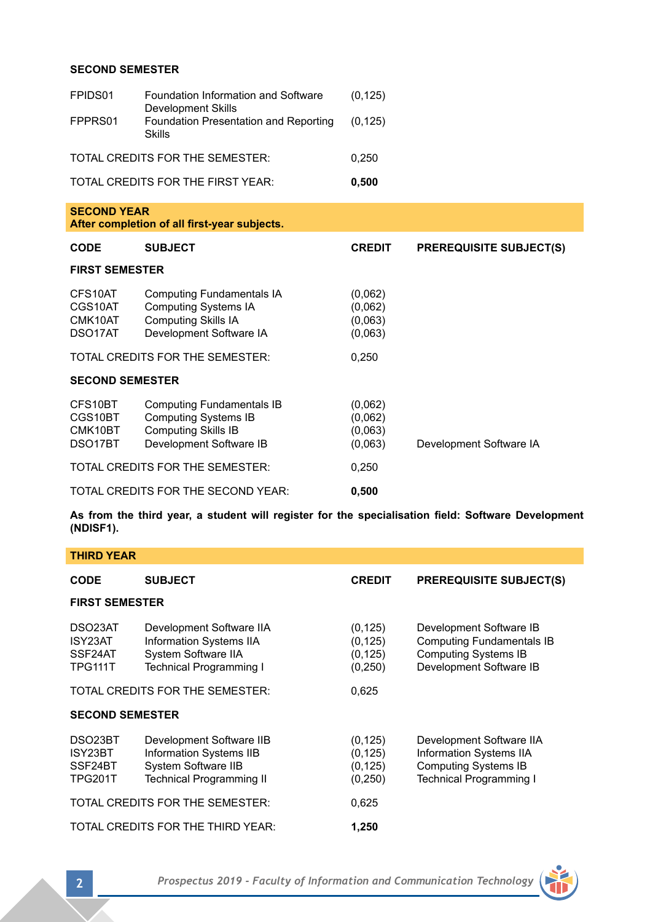## **SECOND SEMESTER**

| FPIDS01                                  | Foundation Information and Software<br><b>Development Skills</b>                                                  | (0, 125)                                 |                                |  |
|------------------------------------------|-------------------------------------------------------------------------------------------------------------------|------------------------------------------|--------------------------------|--|
| FPPRS01                                  | Foundation Presentation and Reporting<br>Skills                                                                   | (0, 125)                                 |                                |  |
| TOTAL CREDITS FOR THE SEMESTER:          |                                                                                                                   | 0,250                                    |                                |  |
| TOTAL CREDITS FOR THE FIRST YEAR:        |                                                                                                                   | 0,500                                    |                                |  |
|                                          | <b>SECOND YEAR</b><br>After completion of all first-year subjects.                                                |                                          |                                |  |
| <b>CODE</b>                              | <b>SUBJECT</b>                                                                                                    | <b>CREDIT</b>                            | <b>PREREQUISITE SUBJECT(S)</b> |  |
| <b>FIRST SEMESTER</b>                    |                                                                                                                   |                                          |                                |  |
| CFS10AT<br>CGS10AT<br>CMK10AT<br>DSO17AT | Computing Fundamentals IA<br><b>Computing Systems IA</b><br><b>Computing Skills IA</b><br>Development Software IA | (0,062)<br>(0,062)<br>(0,063)<br>(0,063) |                                |  |
|                                          | TOTAL CREDITS FOR THE SEMESTER:                                                                                   | 0,250                                    |                                |  |
| <b>SECOND SEMESTER</b>                   |                                                                                                                   |                                          |                                |  |
| CFS10BT<br>CGS10BT<br>CMK10BT<br>DSO17BT | Computing Fundamentals IB<br>Computing Systems IB<br><b>Computing Skills IB</b><br>Development Software IB        | (0,062)<br>(0,062)<br>(0,063)<br>(0,063) | Development Software IA        |  |
| TOTAL CREDITS FOR THE SEMESTER:<br>0,250 |                                                                                                                   |                                          |                                |  |
|                                          | TOTAL CREDITS FOR THE SECOND YEAR:                                                                                | 0.500                                    |                                |  |

**As from the third year, a student will register for the specialisation field: Software Development (NDISF1).**

| <b>THIRD YEAR</b>                               |                                                                                                                      |                                              |                                                                                                                      |
|-------------------------------------------------|----------------------------------------------------------------------------------------------------------------------|----------------------------------------------|----------------------------------------------------------------------------------------------------------------------|
| <b>CODE</b>                                     | <b>SUBJECT</b>                                                                                                       | <b>CREDIT</b>                                | <b>PREREQUISITE SUBJECT(S)</b>                                                                                       |
| <b>FIRST SEMESTER</b>                           |                                                                                                                      |                                              |                                                                                                                      |
| DSO23AT<br>ISY23AT<br>SSF24AT<br>TPG111T        | Development Software IIA<br>Information Systems IIA<br>System Software IIA<br><b>Technical Programming I</b>         | (0, 125)<br>(0, 125)<br>(0, 125)<br>(0, 250) | Development Software IB<br>Computing Fundamentals IB<br><b>Computing Systems IB</b><br>Development Software IB       |
| TOTAL CREDITS FOR THE SEMESTER:<br>0,625        |                                                                                                                      |                                              |                                                                                                                      |
| <b>SECOND SEMESTER</b>                          |                                                                                                                      |                                              |                                                                                                                      |
| DSO23BT<br>ISY23BT<br>SSF24BT<br><b>TPG201T</b> | Development Software IIB<br><b>Information Systems IIB</b><br>System Software IIB<br><b>Technical Programming II</b> | (0, 125)<br>(0, 125)<br>(0, 125)<br>(0, 250) | Development Software IIA<br>Information Systems IIA<br><b>Computing Systems IB</b><br><b>Technical Programming I</b> |
| TOTAL CREDITS FOR THE SEMESTER:<br>0,625        |                                                                                                                      |                                              |                                                                                                                      |
| TOTAL CREDITS FOR THE THIRD YEAR:<br>1,250      |                                                                                                                      |                                              |                                                                                                                      |

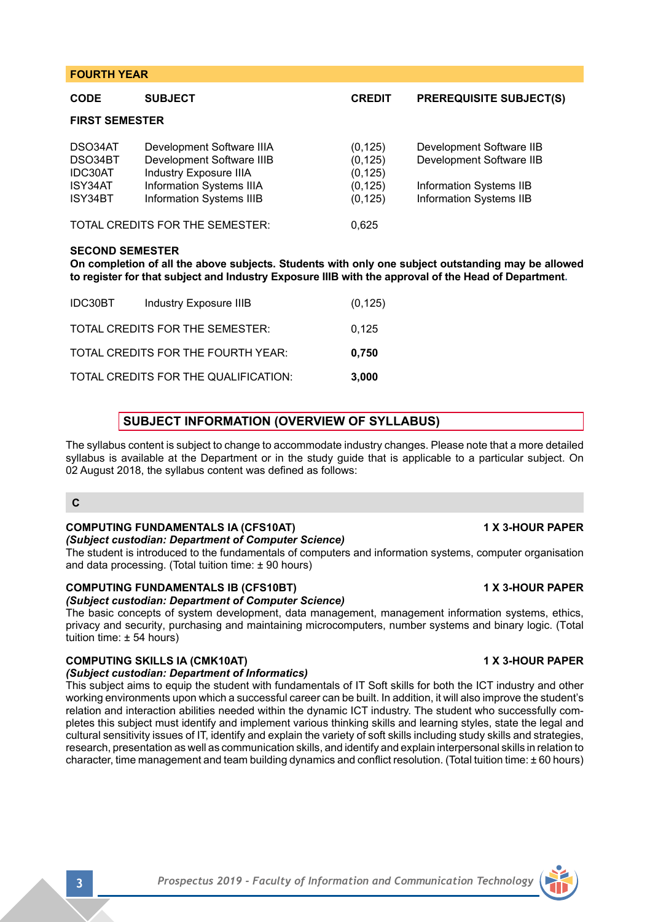| <b>CODE</b>                                         | <b>SUBJECT</b>                                                                                                                           | <b>CREDIT</b>                                            | <b>PREREQUISITE SUBJECT(S)</b>                                                                                    |
|-----------------------------------------------------|------------------------------------------------------------------------------------------------------------------------------------------|----------------------------------------------------------|-------------------------------------------------------------------------------------------------------------------|
| <b>FIRST SEMESTER</b>                               |                                                                                                                                          |                                                          |                                                                                                                   |
| DSO34AT<br>DSO34BT<br>IDC30AT<br>ISY34AT<br>ISY34BT | Development Software IIIA<br>Development Software IIIB<br>Industry Exposure IIIA<br>Information Systems IIIA<br>Information Systems IIIB | (0, 125)<br>(0, 125)<br>(0, 125)<br>(0, 125)<br>(0, 125) | Development Software IIB<br>Development Software IIB<br>Information Systems IIB<br><b>Information Systems IIB</b> |
| TOTAL CREDITS FOR THE SEMESTER:                     |                                                                                                                                          | 0,625                                                    |                                                                                                                   |
| <b>SECOND SEMESTER</b>                              |                                                                                                                                          |                                                          |                                                                                                                   |

**On completion of all the above subjects. Students with only one subject outstanding may be allowed to register for that subject and Industry Exposure IIIB with the approval of the Head of Department.**

| IDC30BT | Industry Exposure IIIB               | (0, 125) |
|---------|--------------------------------------|----------|
|         | TOTAL CREDITS FOR THE SEMESTER:      | 0.125    |
|         | TOTAL CREDITS FOR THE FOURTH YEAR:   | 0.750    |
|         | TOTAL CREDITS FOR THE QUALIFICATION: | 3,000    |

## **SUBJECT INFORMATION (OVERVIEW OF SYLLABUS)**

The syllabus content is subject to change to accommodate industry changes. Please note that a more detailed syllabus is available at the Department or in the study guide that is applicable to a particular subject. On 02 August 2018, the syllabus content was defined as follows:

### **C**

**FOURTH YEAR**

## **COMPUTING FUNDAMENTALS IA (CFS10AT) 1 X 3-HOUR PAPER**

### *(Subject custodian: Department of Computer Science)*

The student is introduced to the fundamentals of computers and information systems, computer organisation and data processing. (Total tuition time:  $\pm$  90 hours)

### **COMPUTING FUNDAMENTALS IB (CFS10BT) 1 X 3-HOUR PAPER**

*(Subject custodian: Department of Computer Science)*

The basic concepts of system development, data management, management information systems, ethics, privacy and security, purchasing and maintaining microcomputers, number systems and binary logic. (Total tuition time: ± 54 hours)

## **COMPUTING SKILLS IA (CMK10AT) 1 X 3-HOUR PAPER**

### *(Subject custodian: Department of Informatics)*

This subject aims to equip the student with fundamentals of IT Soft skills for both the ICT industry and other working environments upon which a successful career can be built. In addition, it will also improve the student's relation and interaction abilities needed within the dynamic ICT industry. The student who successfully completes this subject must identify and implement various thinking skills and learning styles, state the legal and cultural sensitivity issues of IT, identify and explain the variety of soft skills including study skills and strategies, research, presentation as well as communication skills, and identify and explain interpersonal skills in relation to character, time management and team building dynamics and conflict resolution. (Total tuition time: ± 60 hours)

**3** *Prospectus 2019 - Faculty of Information and Communication Technology*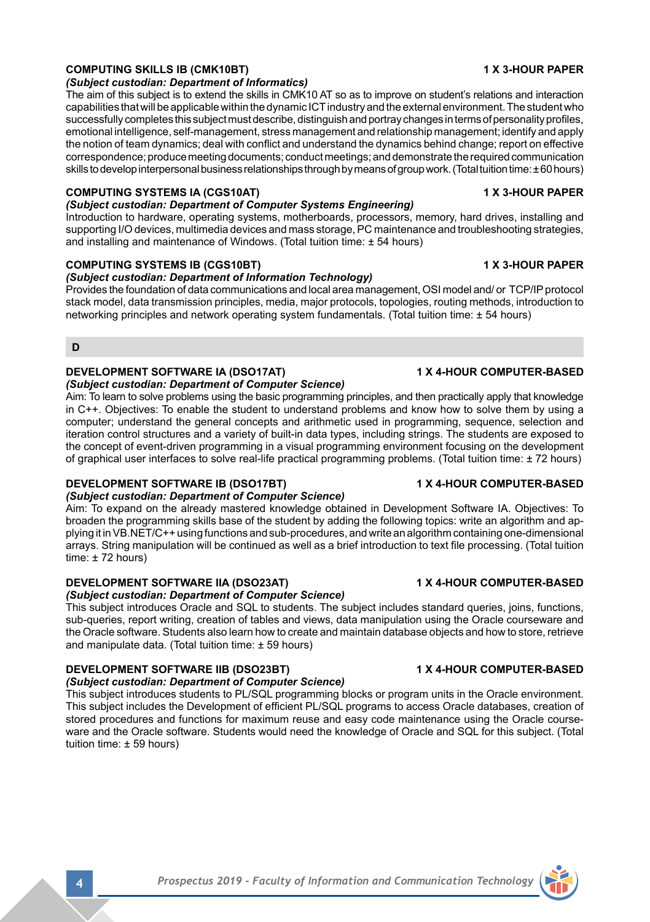## **COMPUTING SKILLS IB (CMK10BT) 1 X 3-HOUR PAPER**

## *(Subject custodian: Department of Informatics)*

The aim of this subject is to extend the skills in CMK10 AT so as to improve on student's relations and interaction capabilities that will be applicable within the dynamic ICT industry and the external environment. The student who successfully completes this subject must describe, distinguish and portray changes in terms of personality profiles, emotional intelligence, self-management, stress management and relationship management; identify and apply the notion of team dynamics; deal with conflict and understand the dynamics behind change; report on effective correspondence; produce meeting documents; conduct meetings; and demonstrate the required communication skills to develop interpersonal business relationships through by means of group work. (Total tuition time: ± 60 hours)

## **COMPUTING SYSTEMS IA (CGS10AT) 1 X 3-HOUR PAPER**

*(Subject custodian: Department of Computer Systems Engineering)* Introduction to hardware, operating systems, motherboards, processors, memory, hard drives, installing and supporting I/O devices, multimedia devices and mass storage, PC maintenance and troubleshooting strategies, and installing and maintenance of Windows. (Total tuition time: ± 54 hours)

## **COMPUTING SYSTEMS IB (CGS10BT) 1 X 3-HOUR PAPER**

## *(Subject custodian: Department of Information Technology)*

Provides the foundation of data communications and local area management, OSI model and/ or TCP/IP protocol stack model, data transmission principles, media, major protocols, topologies, routing methods, introduction to networking principles and network operating system fundamentals. (Total tuition time: ± 54 hours)

**D**

## **DEVELOPMENT SOFTWARE IA (DSO17AT) 1 X 4-HOUR COMPUTER-BASED**

## *(Subject custodian: Department of Computer Science)*

Aim: To learn to solve problems using the basic programming principles, and then practically apply that knowledge in C++. Objectives: To enable the student to understand problems and know how to solve them by using a computer; understand the general concepts and arithmetic used in programming, sequence, selection and iteration control structures and a variety of built-in data types, including strings. The students are exposed to the concept of event-driven programming in a visual programming environment focusing on the development of graphical user interfaces to solve real-life practical programming problems. (Total tuition time: ± 72 hours)

## **DEVELOPMENT SOFTWARE IB (DSO17BT) 1 X 4-HOUR COMPUTER-BASED**

*(Subject custodian: Department of Computer Science)*

Aim: To expand on the already mastered knowledge obtained in Development Software IA. Objectives: To broaden the programming skills base of the student by adding the following topics: write an algorithm and applying it in VB.NET/C++ using functions and sub-procedures, and write an algorithm containing one-dimensional arrays. String manipulation will be continued as well as a brief introduction to text file processing. (Total tuition time:  $± 72$  hours)

## **DEVELOPMENT SOFTWARE IIA (DSO23AT) 1 X 4-HOUR COMPUTER-BASED**

*(Subject custodian: Department of Computer Science)*

This subject introduces Oracle and SQL to students. The subject includes standard queries, joins, functions, sub-queries, report writing, creation of tables and views, data manipulation using the Oracle courseware and the Oracle software. Students also learn how to create and maintain database objects and how to store, retrieve and manipulate data. (Total tuition time: ± 59 hours)

# **DEVELOPMENT SOFTWARE IIB (DSO23BT) 1 X 4-HOUR COMPUTER-BASED**

## *(Subject custodian: Department of Computer Science)*

This subject introduces students to PL/SQL programming blocks or program units in the Oracle environment. This subject includes the Development of efficient PL/SQL programs to access Oracle databases, creation of stored procedures and functions for maximum reuse and easy code maintenance using the Oracle courseware and the Oracle software. Students would need the knowledge of Oracle and SQL for this subject. (Total tuition time: ± 59 hours)

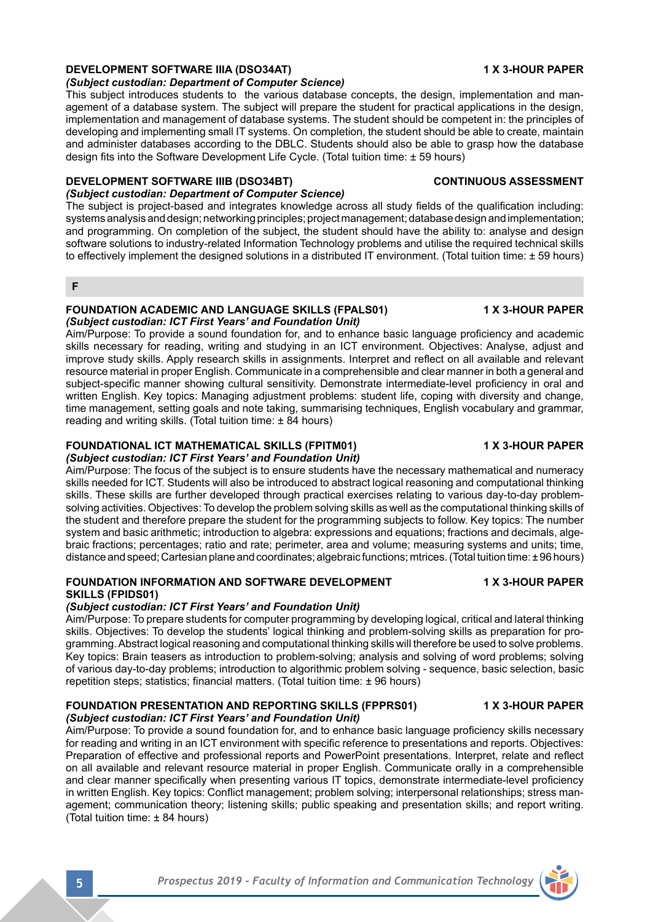## **DEVELOPMENT SOFTWARE IIIA (DSO34AT) 1 X 3-HOUR PAPER**

## *(Subject custodian: Department of Computer Science)*

This subject introduces students to the various database concepts, the design, implementation and management of a database system. The subject will prepare the student for practical applications in the design, implementation and management of database systems. The student should be competent in: the principles of developing and implementing small IT systems. On completion, the student should be able to create, maintain and administer databases according to the DBLC. Students should also be able to grasp how the database design fits into the Software Development Life Cycle. (Total tuition time: ± 59 hours)

## **DEVELOPMENT SOFTWARE IIIB (DSO34BT) CONTINUOUS ASSESSMENT**

## *(Subject custodian: Department of Computer Science)*

The subject is project-based and integrates knowledge across all study fields of the qualification including: systems analysis and design; networking principles; project management; database design and implementation; and programming. On completion of the subject, the student should have the ability to: analyse and design software solutions to industry-related Information Technology problems and utilise the required technical skills to effectively implement the designed solutions in a distributed IT environment. (Total tuition time: ± 59 hours)

**F**

### **FOUNDATION ACADEMIC AND LANGUAGE SKILLS (FPALS01) 1 X 3-HOUR PAPER** *(Subject custodian: ICT First Years' and Foundation Unit)*

Aim/Purpose: To provide a sound foundation for, and to enhance basic language proficiency and academic skills necessary for reading, writing and studying in an ICT environment. Objectives: Analyse, adjust and improve study skills. Apply research skills in assignments. Interpret and reflect on all available and relevant resource material in proper English. Communicate in a comprehensible and clear manner in both a general and subject-specific manner showing cultural sensitivity. Demonstrate intermediate-level proficiency in oral and written English. Key topics: Managing adjustment problems: student life, coping with diversity and change, time management, setting goals and note taking, summarising techniques, English vocabulary and grammar, reading and writing skills. (Total tuition time: ± 84 hours)

# **FOUNDATIONAL ICT MATHEMATICAL SKILLS (FPITM01) 1 X 3-HOUR PAPER**

# *(Subject custodian: ICT First Years' and Foundation Unit)*

Aim/Purpose: The focus of the subject is to ensure students have the necessary mathematical and numeracy skills needed for ICT. Students will also be introduced to abstract logical reasoning and computational thinking skills. These skills are further developed through practical exercises relating to various day-to-day problemsolving activities. Objectives: To develop the problem solving skills as well as the computational thinking skills of the student and therefore prepare the student for the programming subjects to follow. Key topics: The number system and basic arithmetic; introduction to algebra: expressions and equations; fractions and decimals, algebraic fractions; percentages; ratio and rate; perimeter, area and volume; measuring systems and units; time, distance and speed; Cartesian plane and coordinates; algebraic functions; mtrices. (Total tuition time: ± 96 hours)

## **FOUNDATION INFORMATION AND SOFTWARE DEVELOPMENT 1 X 3-HOUR PAPER SKILLS (FPIDS01)**

## *(Subject custodian: ICT First Years' and Foundation Unit)*

Aim/Purpose: To prepare students for computer programming by developing logical, critical and lateral thinking skills. Objectives: To develop the students' logical thinking and problem-solving skills as preparation for programming. Abstract logical reasoning and computational thinking skills will therefore be used to solve problems. Key topics: Brain teasers as introduction to problem-solving; analysis and solving of word problems; solving of various day-to-day problems; introduction to algorithmic problem solving - sequence, basic selection, basic repetition steps; statistics; financial matters. (Total tuition time: ± 96 hours)

### **FOUNDATION PRESENTATION AND REPORTING SKILLS (FPPRS01) 1 X 3-HOUR PAPER** *(Subject custodian: ICT First Years' and Foundation Unit)*

Aim/Purpose: To provide a sound foundation for, and to enhance basic language proficiency skills necessary for reading and writing in an ICT environment with specific reference to presentations and reports. Objectives: Preparation of effective and professional reports and PowerPoint presentations. Interpret, relate and reflect on all available and relevant resource material in proper English. Communicate orally in a comprehensible and clear manner specifically when presenting various IT topics, demonstrate intermediate-level proficiency in written English. Key topics: Conflict management; problem solving; interpersonal relationships; stress management; communication theory; listening skills; public speaking and presentation skills; and report writing. (Total tuition time: ± 84 hours)

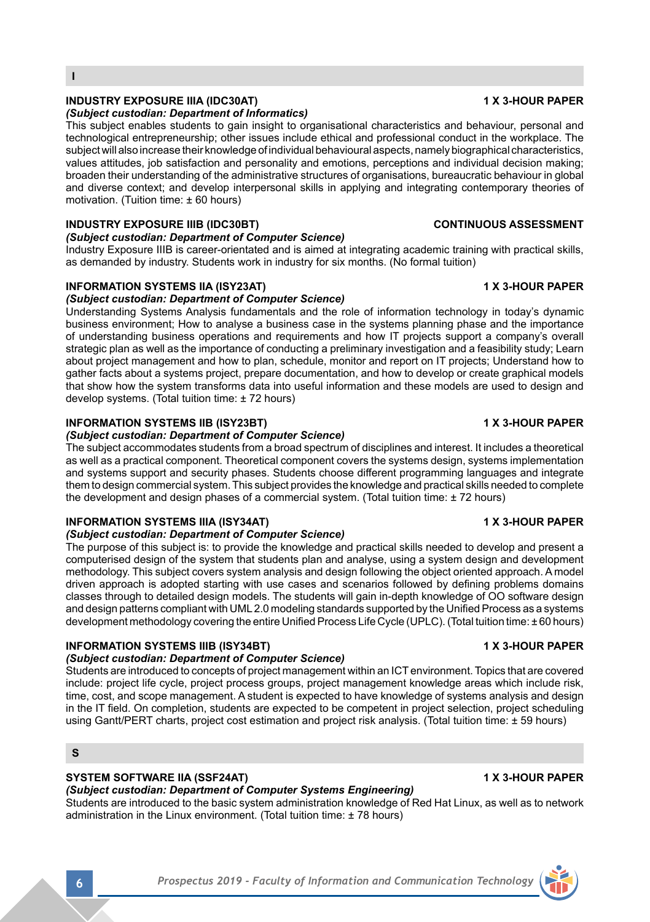**6** *Prospectus 2019 - Faculty of Information and Communication Technology*

## **INDUSTRY EXPOSURE IIIA (IDC30AT) 1 X 3-HOUR PAPER**

**I**

### *(Subject custodian: Department of Informatics)*

This subject enables students to gain insight to organisational characteristics and behaviour, personal and technological entrepreneurship; other issues include ethical and professional conduct in the workplace. The subject will also increase their knowledge of individual behavioural aspects, namely biographical characteristics, values attitudes, job satisfaction and personality and emotions, perceptions and individual decision making; broaden their understanding of the administrative structures of organisations, bureaucratic behaviour in global and diverse context; and develop interpersonal skills in applying and integrating contemporary theories of motivation. (Tuition time: ± 60 hours)

### **INDUSTRY EXPOSURE IIIB (IDC30BT) CONTINUOUS ASSESSMENT**

### *(Subject custodian: Department of Computer Science)*

Industry Exposure IIIB is career-orientated and is aimed at integrating academic training with practical skills, as demanded by industry. Students work in industry for six months. (No formal tuition)

## **INFORMATION SYSTEMS IIA (ISY23AT) 1 X 3-HOUR PAPER**

### *(Subject custodian: Department of Computer Science)*

Understanding Systems Analysis fundamentals and the role of information technology in today's dynamic business environment; How to analyse a business case in the systems planning phase and the importance of understanding business operations and requirements and how IT projects support a company's overall strategic plan as well as the importance of conducting a preliminary investigation and a feasibility study; Learn about project management and how to plan, schedule, monitor and report on IT projects; Understand how to gather facts about a systems project, prepare documentation, and how to develop or create graphical models that show how the system transforms data into useful information and these models are used to design and develop systems. (Total tuition time: ± 72 hours)

## **INFORMATION SYSTEMS IIB (ISY23BT) 1 X 3-HOUR PAPER**

### *(Subject custodian: Department of Computer Science)*

The subject accommodates students from a broad spectrum of disciplines and interest. It includes a theoretical as well as a practical component. Theoretical component covers the systems design, systems implementation and systems support and security phases. Students choose different programming languages and integrate them to design commercial system. This subject provides the knowledge and practical skills needed to complete the development and design phases of a commercial system. (Total tuition time: ± 72 hours)

## **INFORMATION SYSTEMS IIIA (ISY34AT) 1 X 3-HOUR PAPER**

### *(Subject custodian: Department of Computer Science)*

The purpose of this subject is: to provide the knowledge and practical skills needed to develop and present a computerised design of the system that students plan and analyse, using a system design and development methodology. This subject covers system analysis and design following the object oriented approach. A model driven approach is adopted starting with use cases and scenarios followed by defining problems domains classes through to detailed design models. The students will gain in-depth knowledge of OO software design and design patterns compliant with UML 2.0 modeling standards supported by the Unified Process as a systems development methodology covering the entire Unified Process Life Cycle (UPLC). (Total tuition time: ± 60 hours)

## **INFORMATION SYSTEMS IIIB (ISY34BT) 1 X 3-HOUR PAPER**

### *(Subject custodian: Department of Computer Science)*

Students are introduced to concepts of project management within an ICT environment. Topics that are covered include: project life cycle, project process groups, project management knowledge areas which include risk, time, cost, and scope management. A student is expected to have knowledge of systems analysis and design in the IT field. On completion, students are expected to be competent in project selection, project scheduling using Gantt/PERT charts, project cost estimation and project risk analysis. (Total tuition time: ± 59 hours)

### **S**

### **SYSTEM SOFTWARE IIA (SSF24AT) 1 X 3-HOUR PAPER**

*(Subject custodian: Department of Computer Systems Engineering)*

Students are introduced to the basic system administration knowledge of Red Hat Linux, as well as to network administration in the Linux environment. (Total tuition time: ± 78 hours)